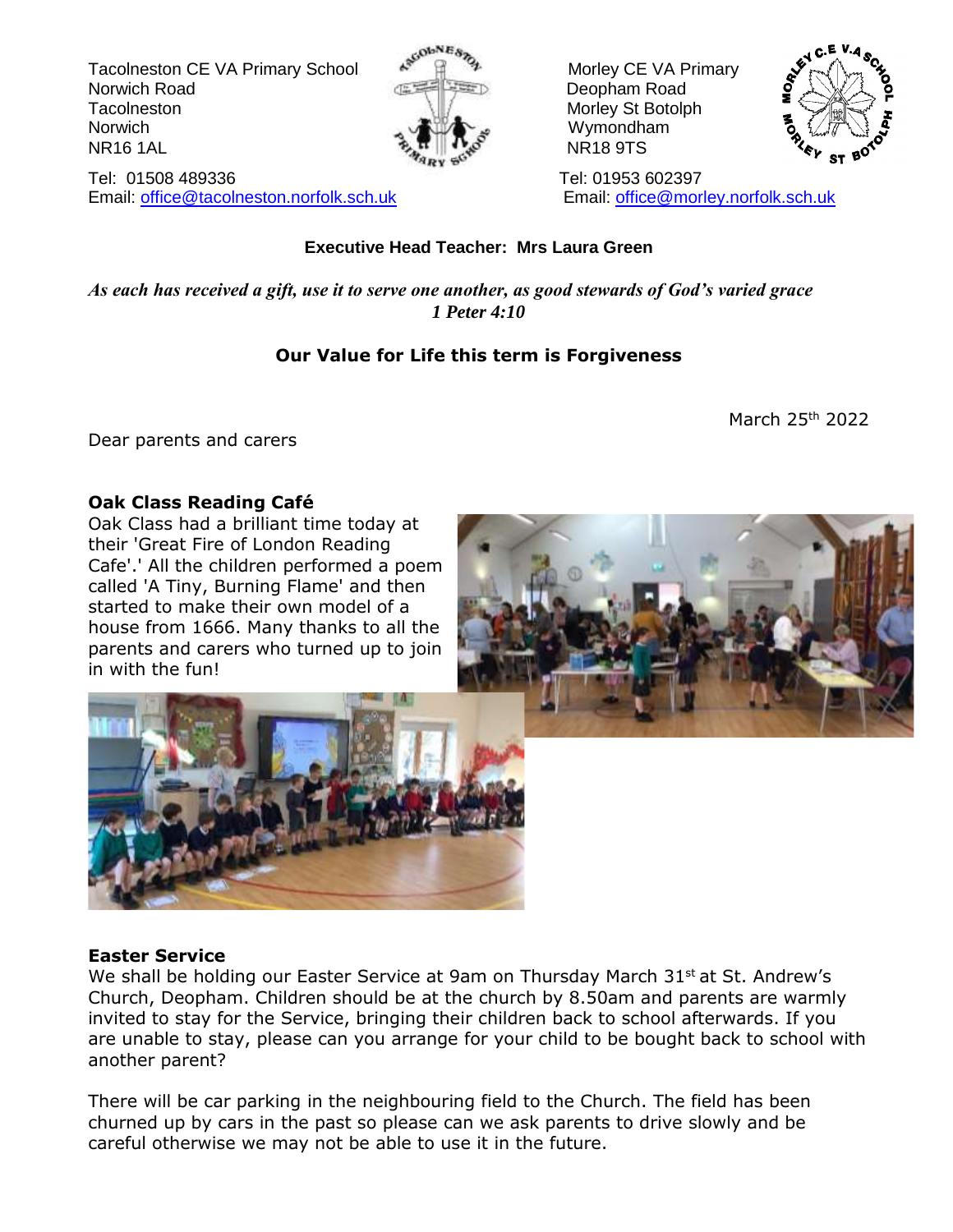Tacolneston CE VA Primary School  $\mathbb{R}^{\mathbb{N}}$   $\mathbb{R}^{\mathbb{N}}$  Morley CE VA Primary Norwich Road **Deopham Road Deopham Road** Tacolneston Morley St Botolph Morley St Botolph Norwich Norwich **Wymondham** NR16 1AL NR18 9TS



Tel: 01508 489336 Tel: 01953 602397 Email: [office@tacolneston.norfolk.sch.uk](mailto:office@tacolneston.norfolk.sch.uk) Email: [office@morley.norfolk.sch.uk](mailto:office@morley.norfolk.sch.uk) 



#### **Executive Head Teacher: Mrs Laura Green**

*As each has received a gift, use it to serve one another, as good stewards of God's varied grace 1 Peter 4:10*

#### **Our Value for Life this term is Forgiveness**

March 25th 2022

Dear parents and carers

#### **Oak Class Reading Café**

Oak Class had a brilliant time today at their 'Great Fire of London Reading Cafe'.' All the children performed a poem called 'A Tiny, Burning Flame' and then started to make their own model of a house from 1666. Many thanks to all the parents and carers who turned up to join in with the fun!





#### **Easter Service**

We shall be holding our Easter Service at 9am on Thursday March 31<sup>st</sup> at St. Andrew's Church, Deopham. Children should be at the church by 8.50am and parents are warmly invited to stay for the Service, bringing their children back to school afterwards. If you are unable to stay, please can you arrange for your child to be bought back to school with another parent?

There will be car parking in the neighbouring field to the Church. The field has been churned up by cars in the past so please can we ask parents to drive slowly and be careful otherwise we may not be able to use it in the future.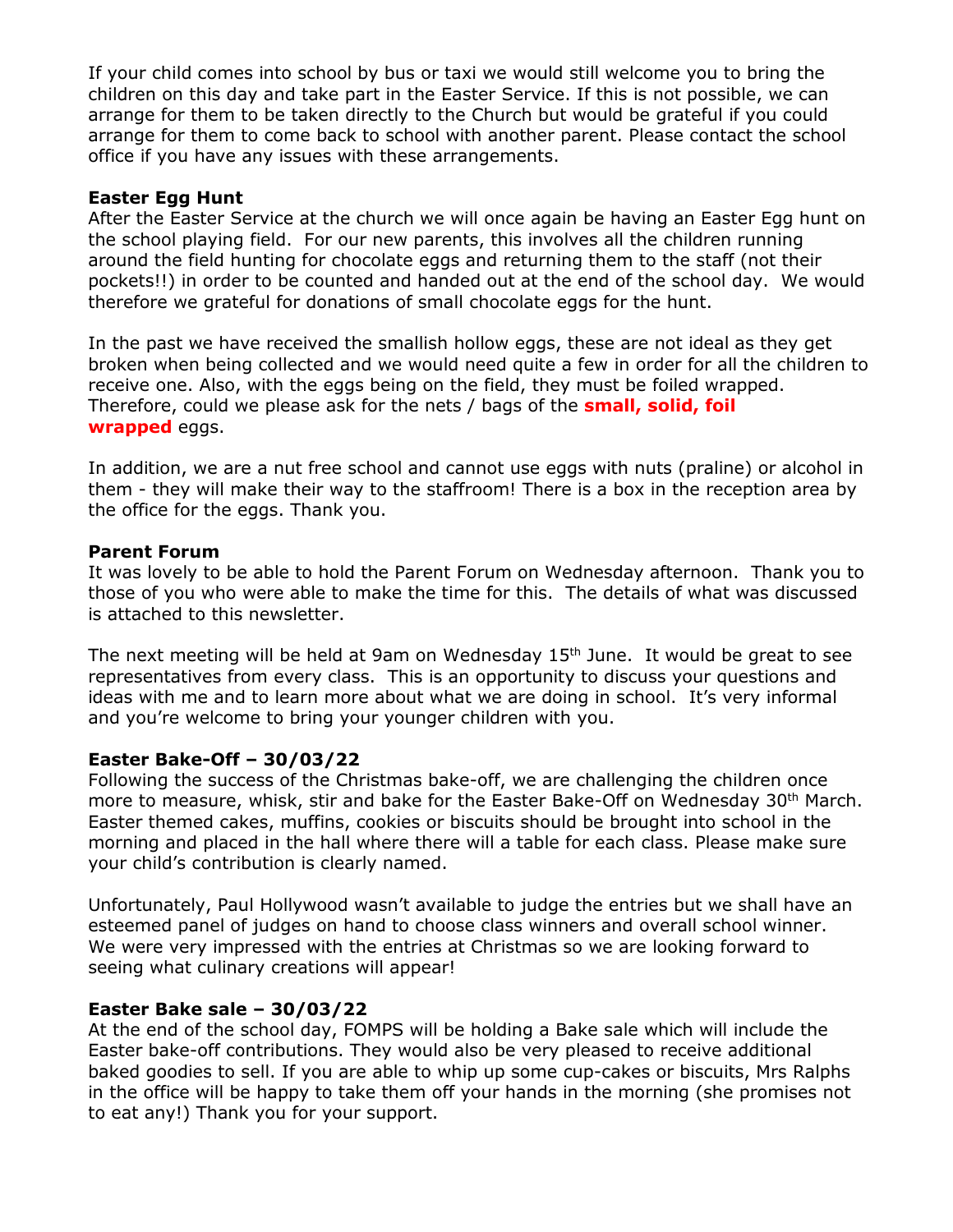If your child comes into school by bus or taxi we would still welcome you to bring the children on this day and take part in the Easter Service. If this is not possible, we can arrange for them to be taken directly to the Church but would be grateful if you could arrange for them to come back to school with another parent. Please contact the school office if you have any issues with these arrangements.

#### **Easter Egg Hunt**

After the Easter Service at the church we will once again be having an Easter Egg hunt on the school playing field. For our new parents, this involves all the children running around the field hunting for chocolate eggs and returning them to the staff (not their pockets!!) in order to be counted and handed out at the end of the school day. We would therefore we grateful for donations of small chocolate eggs for the hunt.

In the past we have received the smallish hollow eggs, these are not ideal as they get broken when being collected and we would need quite a few in order for all the children to receive one. Also, with the eggs being on the field, they must be foiled wrapped. Therefore, could we please ask for the nets / bags of the **small, solid, foil wrapped** eggs.

In addition, we are a nut free school and cannot use eggs with nuts (praline) or alcohol in them - they will make their way to the staffroom! There is a box in the reception area by the office for the eggs. Thank you.

#### **Parent Forum**

It was lovely to be able to hold the Parent Forum on Wednesday afternoon. Thank you to those of you who were able to make the time for this. The details of what was discussed is attached to this newsletter.

The next meeting will be held at 9am on Wednesday  $15<sup>th</sup>$  June. It would be great to see representatives from every class. This is an opportunity to discuss your questions and ideas with me and to learn more about what we are doing in school. It's very informal and you're welcome to bring your younger children with you.

#### **Easter Bake-Off – 30/03/22**

Following the success of the Christmas bake-off, we are challenging the children once more to measure, whisk, stir and bake for the Easter Bake-Off on Wednesday 30<sup>th</sup> March. Easter themed cakes, muffins, cookies or biscuits should be brought into school in the morning and placed in the hall where there will a table for each class. Please make sure your child's contribution is clearly named.

Unfortunately, Paul Hollywood wasn't available to judge the entries but we shall have an esteemed panel of judges on hand to choose class winners and overall school winner. We were very impressed with the entries at Christmas so we are looking forward to seeing what culinary creations will appear!

#### **Easter Bake sale – 30/03/22**

At the end of the school day, FOMPS will be holding a Bake sale which will include the Easter bake-off contributions. They would also be very pleased to receive additional baked goodies to sell. If you are able to whip up some cup-cakes or biscuits, Mrs Ralphs in the office will be happy to take them off your hands in the morning (she promises not to eat any!) Thank you for your support.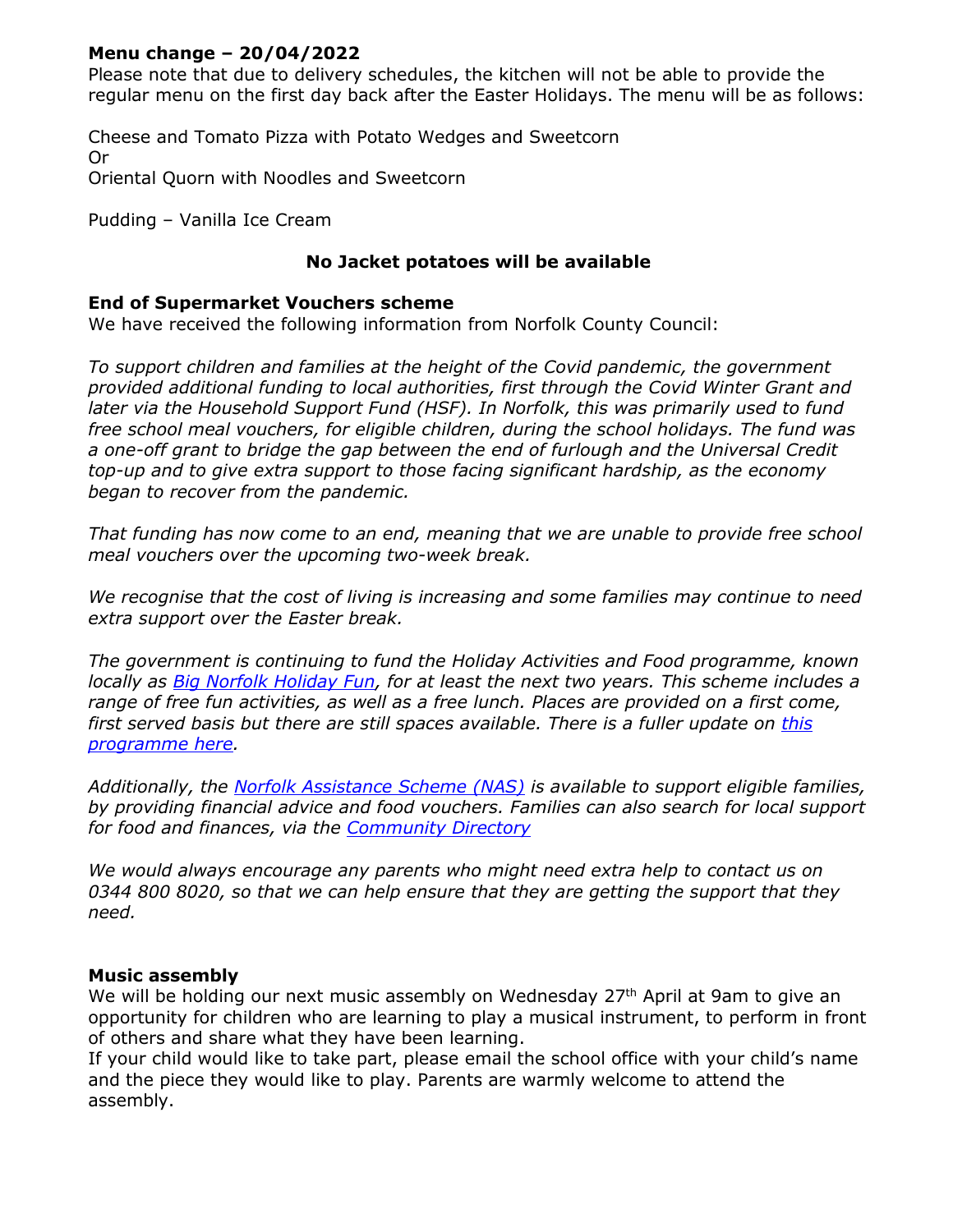#### **Menu change – 20/04/2022**

Please note that due to delivery schedules, the kitchen will not be able to provide the regular menu on the first day back after the Easter Holidays. The menu will be as follows:

Cheese and Tomato Pizza with Potato Wedges and Sweetcorn Or Oriental Quorn with Noodles and Sweetcorn

Pudding – Vanilla Ice Cream

#### **No Jacket potatoes will be available**

#### **End of Supermarket Vouchers scheme**

We have received the following information from Norfolk County Council:

*To support children and families at the height of the Covid pandemic, the government provided additional funding to local authorities, first through the Covid Winter Grant and later via the Household Support Fund (HSF). In Norfolk, this was primarily used to fund free school meal vouchers, for eligible children, during the school holidays. The fund was a one-off grant to bridge the gap between the end of furlough and the Universal Credit top-up and to give extra support to those facing significant hardship, as the economy began to recover from the pandemic.*

*That funding has now come to an end, meaning that we are unable to provide free school meal vouchers over the upcoming two-week break.*

*We recognise that the cost of living is increasing and some families may continue to need extra support over the Easter break.*

*The government is continuing to fund the Holiday Activities and Food programme, known locally as [Big Norfolk Holiday Fun,](https://www.norfolk.gov.uk/what-we-do-and-how-we-work/campaigns/big-norfolk-holiday-fun) for at least the next two years. This scheme includes a range of free fun activities, as well as a free lunch. Places are provided on a first come, first served basis but there are still spaces available. There is a fuller update on [this](https://csapps.norfolk.gov.uk/csshared/ecourier2/misheet.asp?previewmisheetid=57020)  [programme here.](https://csapps.norfolk.gov.uk/csshared/ecourier2/misheet.asp?previewmisheetid=57020)*

*Additionally, the [Norfolk Assistance Scheme \(NAS\)](https://www.norfolk.gov.uk/care-support-and-health/support-for-living-independently/money-and-benefits/norfolk-assistance-scheme) is available to support eligible families, by providing financial advice and food vouchers. Families can also search for local support for food and finances, via the [Community Directory](https://communitydirectory.norfolk.gov.uk/)*

*We would always encourage any parents who might need extra help to contact us on 0344 800 8020, so that we can help ensure that they are getting the support that they need.*

#### **Music assembly**

We will be holding our next music assembly on Wednesday  $27<sup>th</sup>$  April at 9am to give an opportunity for children who are learning to play a musical instrument, to perform in front of others and share what they have been learning.

If your child would like to take part, please email the school office with your child's name and the piece they would like to play. Parents are warmly welcome to attend the assembly.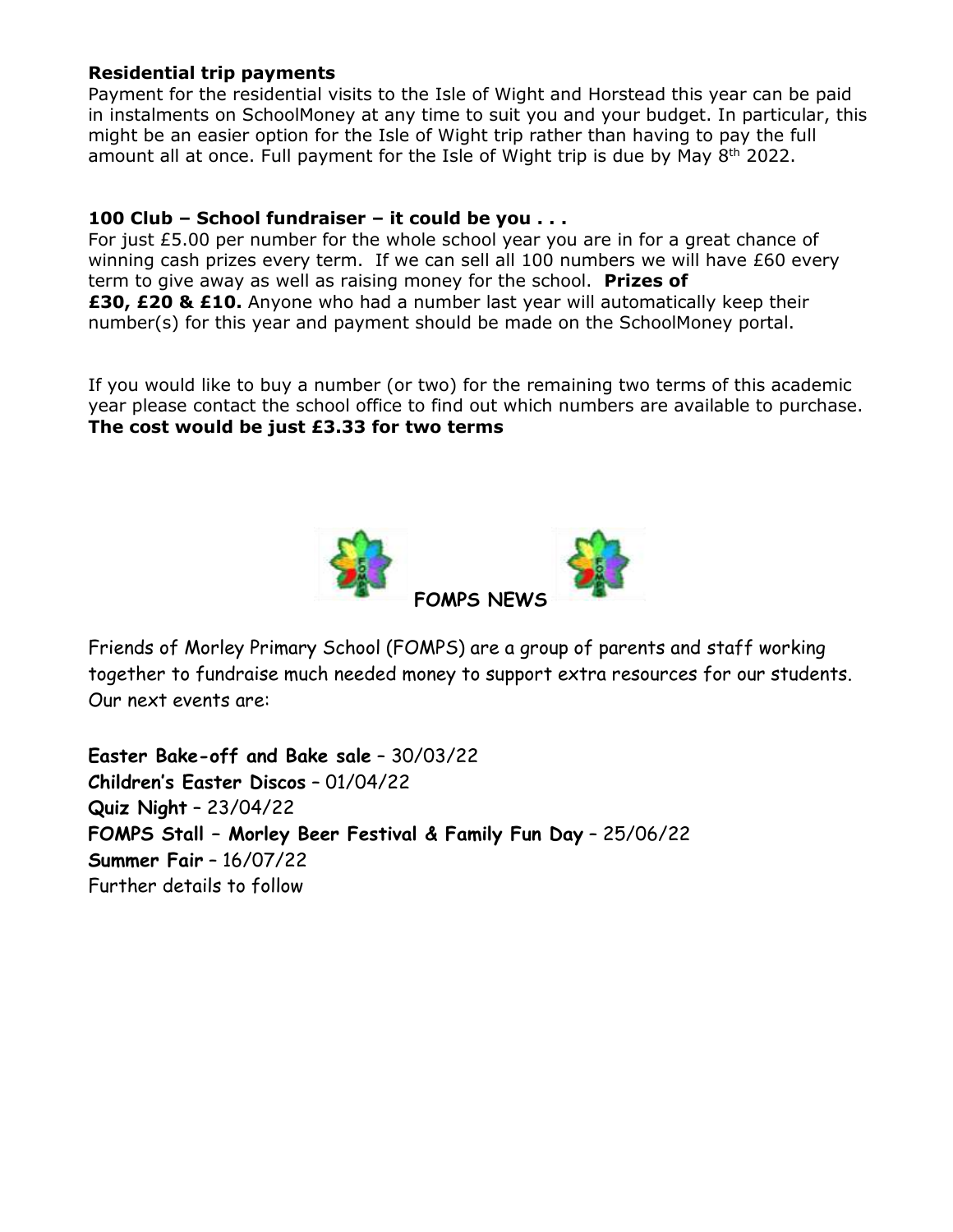#### **Residential trip payments**

Payment for the residential visits to the Isle of Wight and Horstead this year can be paid in instalments on SchoolMoney at any time to suit you and your budget. In particular, this might be an easier option for the Isle of Wight trip rather than having to pay the full amount all at once. Full payment for the Isle of Wight trip is due by May  $8<sup>th</sup>$  2022.

#### **100 Club – School fundraiser – it could be you . . .**

For just £5.00 per number for the whole school year you are in for a great chance of winning cash prizes every term. If we can sell all 100 numbers we will have £60 every term to give away as well as raising money for the school. **Prizes of £30, £20 & £10.** Anyone who had a number last year will automatically keep their number(s) for this year and payment should be made on the SchoolMoney portal.

If you would like to buy a number (or two) for the remaining two terms of this academic year please contact the school office to find out which numbers are available to purchase. **The cost would be just £3.33 for two terms**



Friends of Morley Primary School (FOMPS) are a group of parents and staff working together to fundraise much needed money to support extra resources for our students. Our next events are:

**Easter Bake-off and Bake sale** – 30/03/22 **Children's Easter Discos** – 01/04/22 **Quiz Night** – 23/04/22 **FOMPS Stall – Morley Beer Festival & Family Fun Day** – 25/06/22 **Summer Fair** – 16/07/22 Further details to follow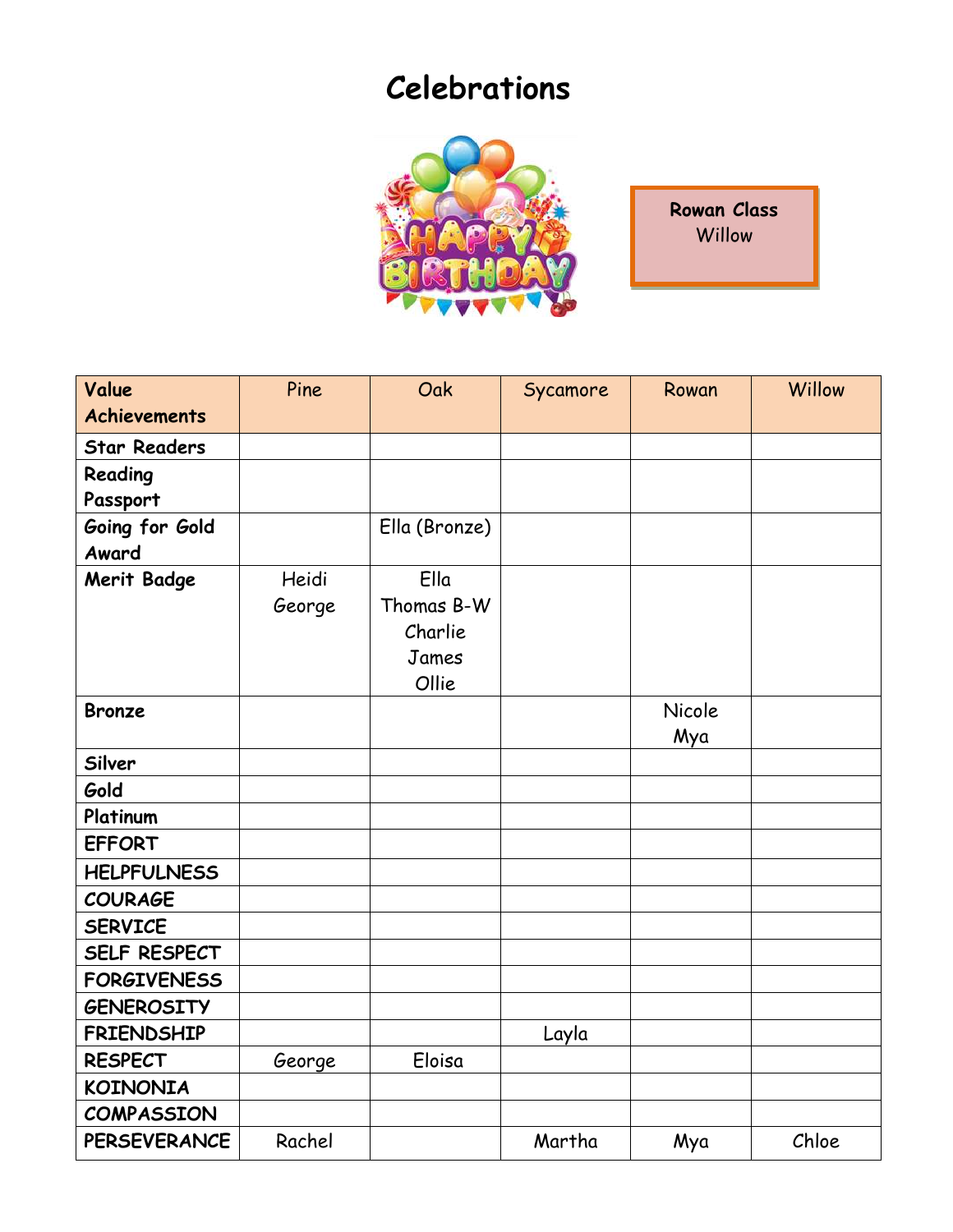# **Celebrations**



**Rowan Class Willow** 

| Value<br><b>Achievements</b> | Pine   | Oak           | Sycamore | Rowan  | Willow |
|------------------------------|--------|---------------|----------|--------|--------|
|                              |        |               |          |        |        |
| <b>Star Readers</b>          |        |               |          |        |        |
| Reading                      |        |               |          |        |        |
| Passport                     |        |               |          |        |        |
| Going for Gold               |        | Ella (Bronze) |          |        |        |
| Award                        |        |               |          |        |        |
| <b>Merit Badge</b>           | Heidi  | Ella          |          |        |        |
|                              | George | Thomas B-W    |          |        |        |
|                              |        | Charlie       |          |        |        |
|                              |        | James         |          |        |        |
|                              |        | Ollie         |          |        |        |
| <b>Bronze</b>                |        |               |          | Nicole |        |
|                              |        |               |          | Mya    |        |
| Silver                       |        |               |          |        |        |
| Gold                         |        |               |          |        |        |
| Platinum                     |        |               |          |        |        |
| <b>EFFORT</b>                |        |               |          |        |        |
| <b>HELPFULNESS</b>           |        |               |          |        |        |
| <b>COURAGE</b>               |        |               |          |        |        |
| <b>SERVICE</b>               |        |               |          |        |        |
| SELF RESPECT                 |        |               |          |        |        |
| <b>FORGIVENESS</b>           |        |               |          |        |        |
| <b>GENEROSITY</b>            |        |               |          |        |        |
| <b>FRIENDSHIP</b>            |        |               | Layla    |        |        |
| <b>RESPECT</b>               | George | Eloisa        |          |        |        |
| <b>KOINONIA</b>              |        |               |          |        |        |
| <b>COMPASSION</b>            |        |               |          |        |        |
| <b>PERSEVERANCE</b>          | Rachel |               | Martha   | Mya    | Chloe  |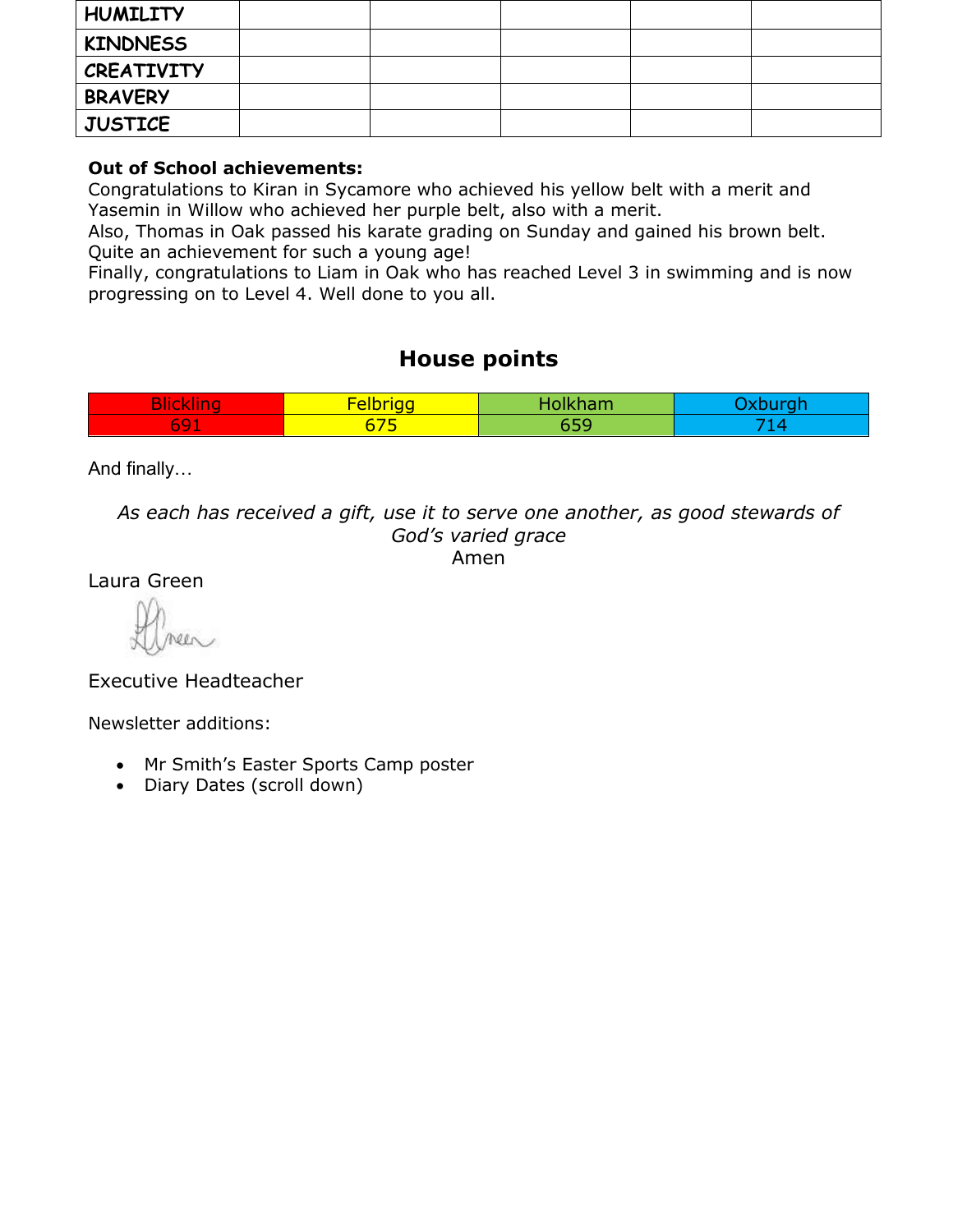| <b>HUMILITY</b>   |  |  |  |
|-------------------|--|--|--|
| <b>KINDNESS</b>   |  |  |  |
| <b>CREATIVITY</b> |  |  |  |
| <b>BRAVERY</b>    |  |  |  |
| <b>JUSTICE</b>    |  |  |  |

#### **Out of School achievements:**

Congratulations to Kiran in Sycamore who achieved his yellow belt with a merit and Yasemin in Willow who achieved her purple belt, also with a merit.

Also, Thomas in Oak passed his karate grading on Sunday and gained his brown belt. Quite an achievement for such a young age!

Finally, congratulations to Liam in Oak who has reached Level 3 in swimming and is now progressing on to Level 4. Well done to you all.

#### **House points**

| $\sim$<br>u s<br>ъ. | <b>ALC: YES</b><br><b>Service</b><br>$\sim$ $\sim$<br>_ | .<br>чш. |  |
|---------------------|---------------------------------------------------------|----------|--|
| e v<br>09 D         | <u>and the second property</u><br>ה וכ                  | --       |  |

And finally…

*As each has received a gift, use it to serve one another, as good stewards of God's varied grace* Amen

Laura Green

Executive Headteacher

Newsletter additions:

- Mr Smith's Easter Sports Camp poster
- Diary Dates (scroll down)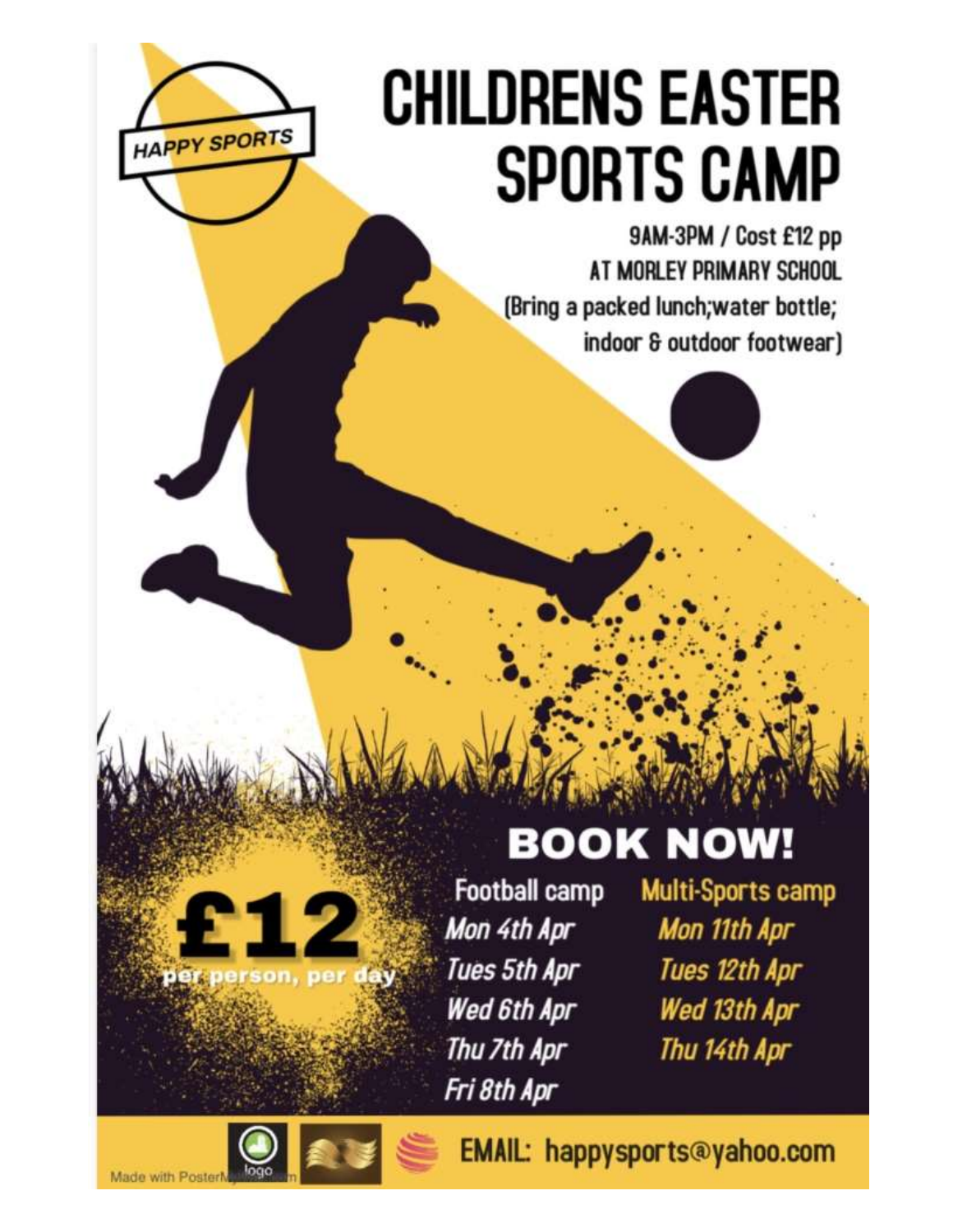# **CHILDRENS EASTER SPORTS CAMP**

9AM-3PM / Cost £12 pp AT MORLEY PRIMARY SCHOOL (Bring a packed lunch; water bottle; indoor & outdoor footwear)

# **BOOK NOW!**

**Football camp** Mon 4th Apr Tues 5th Apr Wed 6th Apr Thu 7th Apr Fri 8th Apr

Multi-Sports camp Mon 11th Apr Tues 12th Apr Wed 13th Apr Thu 14th Apr

**HAPPY SPORTS** 

EMAIL: happysports@yahoo.com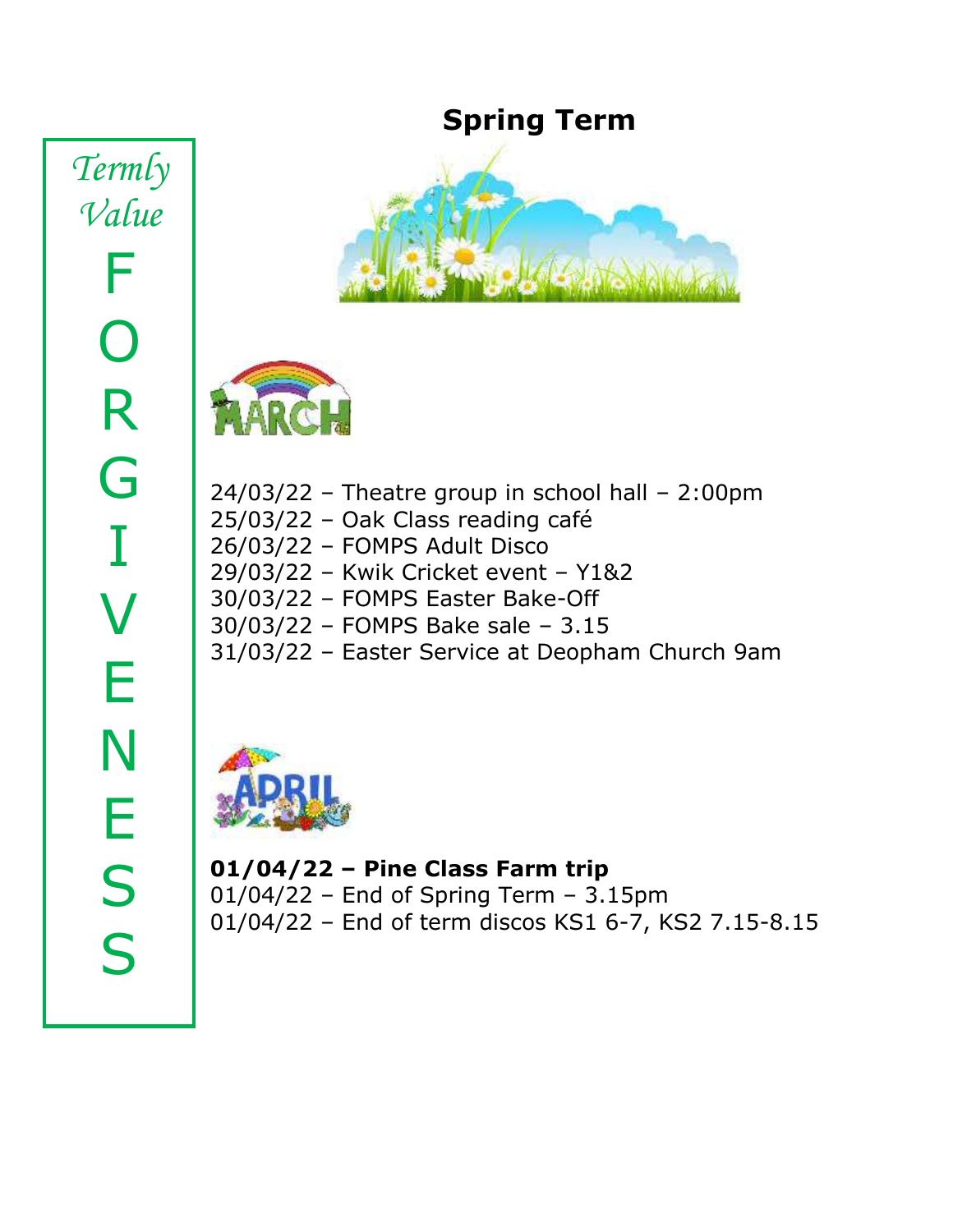*Termly Value* F O R G I V E N E S S

## **Spring Term**





24/03/22 – Theatre group in school hall – 2:00pm 25/03/22 – Oak Class reading café 26/03/22 – FOMPS Adult Disco 29/03/22 – Kwik Cricket event – Y1&2 30/03/22 – FOMPS Easter Bake-Off 30/03/22 – FOMPS Bake sale – 3.15 31/03/22 – Easter Service at Deopham Church 9am



**01/04/22 – Pine Class Farm trip** 01/04/22 – End of Spring Term – 3.15pm 01/04/22 – End of term discos KS1 6-7, KS2 7.15-8.15